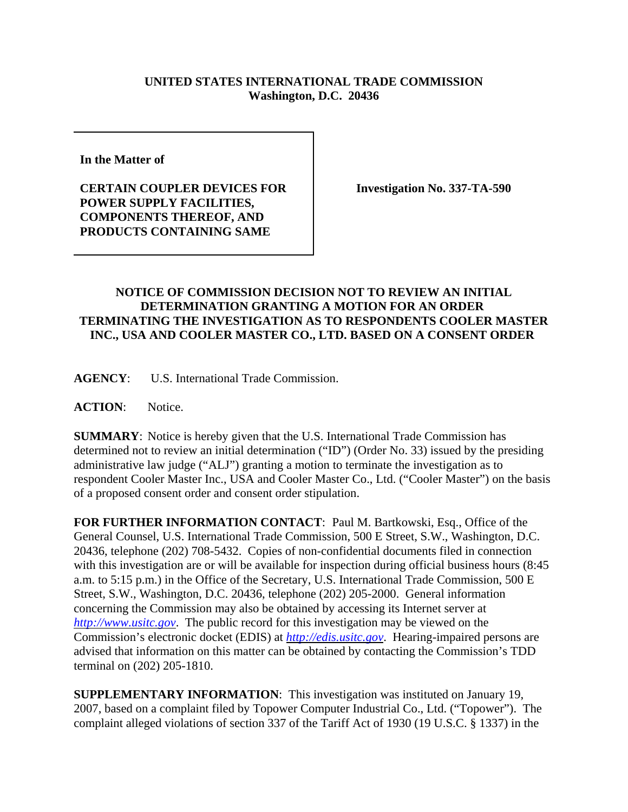## **UNITED STATES INTERNATIONAL TRADE COMMISSION Washington, D.C. 20436**

**In the Matter of** 

**CERTAIN COUPLER DEVICES FOR POWER SUPPLY FACILITIES, COMPONENTS THEREOF, AND PRODUCTS CONTAINING SAME**

**Investigation No. 337-TA-590**

## **NOTICE OF COMMISSION DECISION NOT TO REVIEW AN INITIAL DETERMINATION GRANTING A MOTION FOR AN ORDER TERMINATING THE INVESTIGATION AS TO RESPONDENTS COOLER MASTER INC., USA AND COOLER MASTER CO., LTD. BASED ON A CONSENT ORDER**

**AGENCY**: U.S. International Trade Commission.

**ACTION**: Notice.

**SUMMARY**: Notice is hereby given that the U.S. International Trade Commission has determined not to review an initial determination ("ID") (Order No. 33) issued by the presiding administrative law judge ("ALJ") granting a motion to terminate the investigation as to respondent Cooler Master Inc., USA and Cooler Master Co., Ltd. ("Cooler Master") on the basis of a proposed consent order and consent order stipulation.

**FOR FURTHER INFORMATION CONTACT**: Paul M. Bartkowski, Esq., Office of the General Counsel, U.S. International Trade Commission, 500 E Street, S.W., Washington, D.C. 20436, telephone (202) 708-5432. Copies of non-confidential documents filed in connection with this investigation are or will be available for inspection during official business hours (8:45) a.m. to 5:15 p.m.) in the Office of the Secretary, U.S. International Trade Commission, 500 E Street, S.W., Washington, D.C. 20436, telephone (202) 205-2000. General information concerning the Commission may also be obtained by accessing its Internet server at *http://www.usitc.gov*. The public record for this investigation may be viewed on the Commission's electronic docket (EDIS) at *http://edis.usitc.gov*. Hearing-impaired persons are advised that information on this matter can be obtained by contacting the Commission's TDD terminal on (202) 205-1810.

**SUPPLEMENTARY INFORMATION**: This investigation was instituted on January 19, 2007, based on a complaint filed by Topower Computer Industrial Co., Ltd. ("Topower"). The complaint alleged violations of section 337 of the Tariff Act of 1930 (19 U.S.C. § 1337) in the